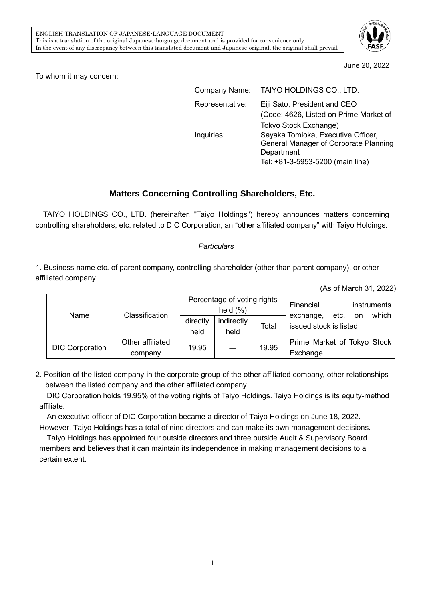

June 20, 2022

To whom it may concern:

| Company Name:   | TAIYO HOLDINGS CO., LTD.                                                                                                      |
|-----------------|-------------------------------------------------------------------------------------------------------------------------------|
| Representative: | Eiji Sato, President and CEO<br>(Code: 4626, Listed on Prime Market of<br>Tokyo Stock Exchange)                               |
| Inquiries:      | Sayaka Tomioka, Executive Officer,<br>General Manager of Corporate Planning<br>Department<br>Tel: +81-3-5953-5200 (main line) |

## **Matters Concerning Controlling Shareholders, Etc.**

TAIYO HOLDINGS CO., LTD. (hereinafter, "Taiyo Holdings") hereby announces matters concerning controlling shareholders, etc. related to DIC Corporation, an "other affiliated company" with Taiyo Holdings.

## *Particulars*

1. Business name etc. of parent company, controlling shareholder (other than parent company), or other affiliated company

|                        |                  |                                             |            |       | (As of March 31, 2022)                                      |
|------------------------|------------------|---------------------------------------------|------------|-------|-------------------------------------------------------------|
| Name                   | Classification   | Percentage of voting rights<br>held $(\% )$ |            |       | Financial<br>instruments                                    |
|                        |                  | directly                                    | indirectly | Total | which<br>etc.<br>exchange,<br>on.<br>issued stock is listed |
|                        |                  | held                                        | held       |       |                                                             |
| <b>DIC Corporation</b> | Other affiliated |                                             |            | 19.95 | Prime Market of Tokyo Stock                                 |
|                        | company          | 19.95                                       |            |       | Exchange                                                    |

2. Position of the listed company in the corporate group of the other affiliated company, other relationships between the listed company and the other affiliated company

DIC Corporation holds 19.95% of the voting rights of Taiyo Holdings. Taiyo Holdings is its equity-method affiliate.

An executive officer of DIC Corporation became a director of Taiyo Holdings on June 18, 2022. However, Taiyo Holdings has a total of nine directors and can make its own management decisions.

Taiyo Holdings has appointed four outside directors and three outside Audit & Supervisory Board members and believes that it can maintain its independence in making management decisions to a certain extent.